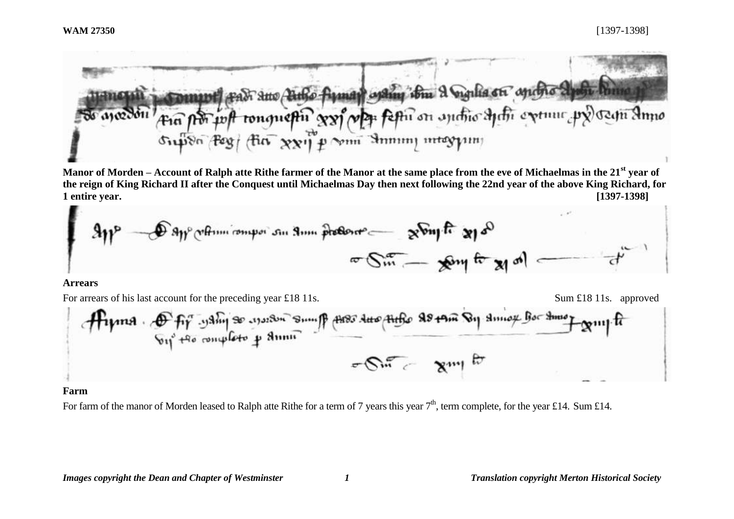

**Manor of Morden – Account of Ralph atte Rithe farmer of the Manor at the same place from the eve of Michaelmas in the 21st year of the reign of King Richard II after the Conquest until Michaelmas Day then next following the 22nd year of the above King Richard, for 1 entire year. [1397-1398]**



#### **Arrears**



### **Farm**

For farm of the manor of Morden leased to Ralph atte Rithe for a term of 7 years this year  $7<sup>th</sup>$ , term complete, for the year £14. Sum £14.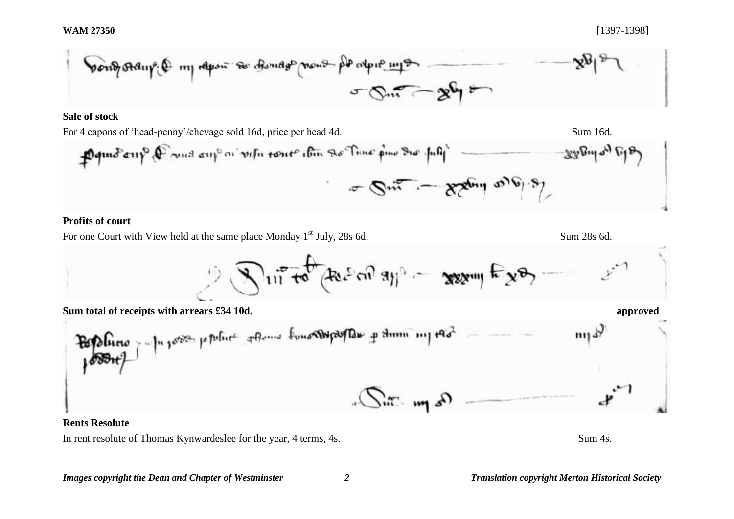

## **Sale of stock**



# **Profits of court**

For one Court with View held at the same place Monday 1<sup>st</sup> July, 28s 6d. Sum 28s 6d.

$$
\int \int u^{\frac{1}{2}} \tau \, \mathrm{d} \tau \, \mathrm{d} \tau \, \mathrm{d} \tau \, \mathrm{d} \tau \, \mathrm{d} \tau \, \mathrm{d} \tau \, \mathrm{d} \tau \, \mathrm{d} \tau \, \mathrm{d} \tau \, \mathrm{d} \tau \, \mathrm{d} \tau \, \mathrm{d} \tau \, \mathrm{d} \tau \, \mathrm{d} \tau \, \mathrm{d} \tau \, \mathrm{d} \tau \, \mathrm{d} \tau \, \mathrm{d} \tau \, \mathrm{d} \tau \, \mathrm{d} \tau \, \mathrm{d} \tau \, \mathrm{d} \tau \, \mathrm{d} \tau \, \mathrm{d} \tau \, \mathrm{d} \tau \, \mathrm{d} \tau \, \mathrm{d} \tau \, \mathrm{d} \tau \, \mathrm{d} \tau \, \mathrm{d} \tau \, \mathrm{d} \tau \, \mathrm{d} \tau \, \mathrm{d} \tau \, \mathrm{d} \tau \, \mathrm{d} \tau \, \mathrm{d} \tau \, \mathrm{d} \tau \, \mathrm{d} \tau \, \mathrm{d} \tau \, \mathrm{d} \tau \, \mathrm{d} \tau \, \mathrm{d} \tau \, \mathrm{d} \tau \, \mathrm{d} \tau \, \mathrm{d} \tau \, \mathrm{d} \tau \, \mathrm{d} \tau \, \mathrm{d} \tau \, \mathrm{d} \tau \, \mathrm{d} \tau \, \mathrm{d} \tau \, \mathrm{d} \tau \, \mathrm{d} \tau \, \mathrm{d} \tau \, \mathrm{d} \tau \, \mathrm{d} \tau \, \mathrm{d} \tau \, \mathrm{d} \tau \, \mathrm{d} \tau \, \mathrm{d} \tau \, \mathrm{d} \tau \, \mathrm{d} \tau \, \mathrm{d} \tau \, \mathrm{d} \tau \, \mathrm{d} \tau \, \mathrm{d} \tau \, \mathrm{d} \tau \, \mathrm{d} \tau \, \mathrm{d} \tau \, \mathrm{d} \tau \, \mathrm{d} \tau \, \mathrm{d} \tau \, \mathrm{d} \tau \, \mathrm{d} \tau \, \mathrm{d} \tau \, \mathrm{d} \tau \, \mathrm{d} \tau \, \mathrm{d} \tau \, \mathrm{d} \tau \, \mathrm{d} \tau \, \mathrm{d} \tau \, \mathrm{d} \tau \, \mathrm{d}
$$

**Sum total of receipts with arrears £34 10d. approved**

**Rents Resolute**

In rent resolute of Thomas Kynwardeslee for the year, 4 terms, 4s. Sum 4s.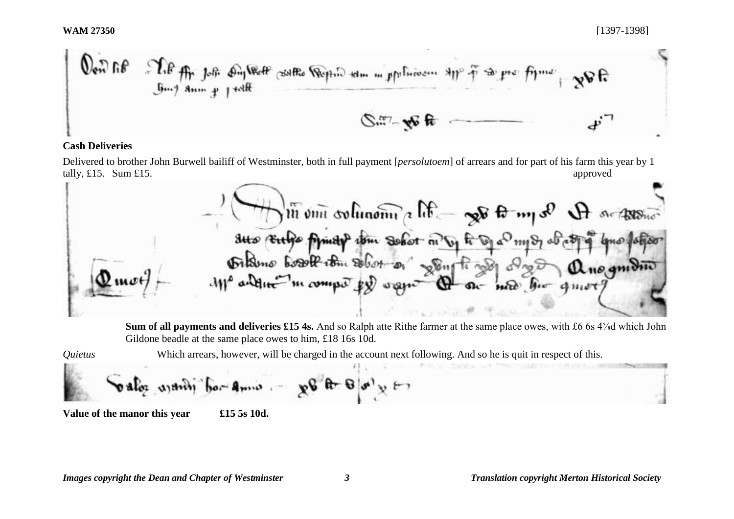**WAM 27350** [1397-1398]

 $\mathcal{H}$  in  $\mathcal{P}$ Tip for Job Dy Wolf soltto Republic tom m ppoliticism style  $w$ R  $\mathbb{C}^{n}$  we be

## **Cash Deliveries**

Delivered to brother John Burwell bailiff of Westminster, both in full payment [*persolutoem*] of arrears and for part of his farm this year by 1 tally, £15. Sum £15.  $\alpha$ 

 $\sqrt{\text{m}}$  on orthonome a life  $\rightarrow$ Sus Entre Amity with Solot no by to Opa my & of all Dikino boat com sobot or song ti gog digo anogmono new hor quet

**Sum of all payments and deliveries £15 4s.** And so Ralph atte Rithe farmer at the same place owes, with £6 6s 4⅝d which John Gildone beadle at the same place owes to him, £18 16s 10d.

*Quietus* Which arrears, however, will be charged in the account next following. And so he is quit in respect of this.

 $\mathbb{R}^{n \times n} = \mathbb{R}^{n \times n}$  $\delta$  alor  $\alpha$  and  $\delta$ 

**Value of the manor this year £15 5s 10d.**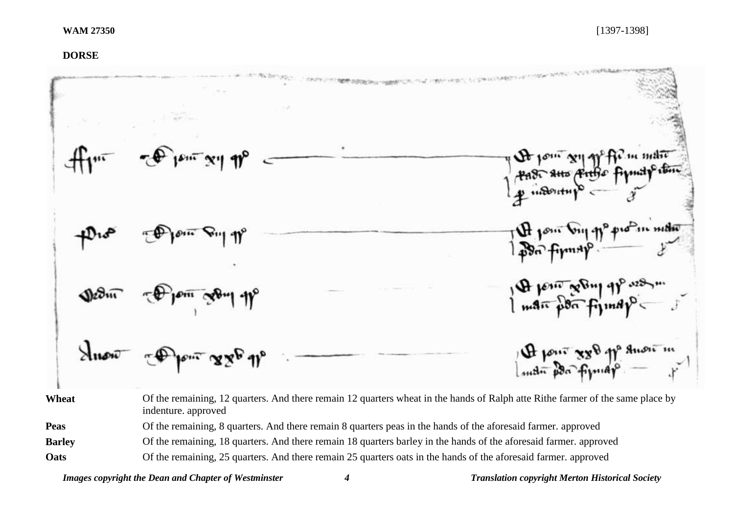## **DORSE**

| $\lim_{\epsilon \to 0} \frac{1}{\epsilon} \int_{0}^{\epsilon} e^{-\epsilon x} \, dx$ | By Jour 211 91° fir in matic |
|--------------------------------------------------------------------------------------|------------------------------|
| $+210$                                                                               | The point village production |
| Dedin Dem John                                                                       | 1 A penir seling 9p was      |
| Super Apon 886 11°                                                                   | 4 pour xxe pp anou m         |

**Wheat** Of the remaining, 12 quarters. And there remain 12 quarters wheat in the hands of Ralph atte Rithe farmer of the same place by indenture. approved

**Peas** Of the remaining, 8 quarters. And there remain 8 quarters peas in the hands of the aforesaid farmer. approved

**Barley** Of the remaining, 18 quarters. And there remain 18 quarters barley in the hands of the aforesaid farmer. approved

**Oats** Of the remaining, 25 quarters. And there remain 25 quarters oats in the hands of the aforesaid farmer. approved

*Images copyright the Dean and Chapter of Westminster 4 Translation copyright Merton Historical Society*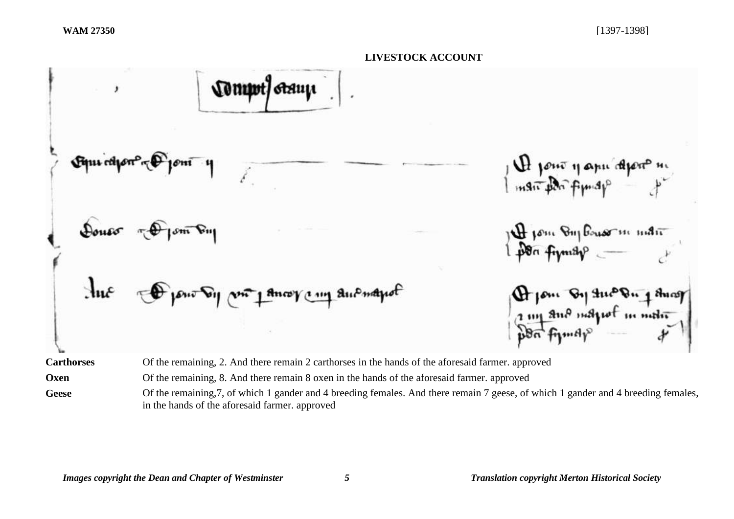*Comput Graup* ٠ H jour y apu approx m fom Dujbouorm mån  $\mathcal{A}_{\mathbf{u}}$ Prom By the Ping Ang 2 my and majust in motive **Carthorses** Of the remaining, 2. And there remain 2 carthorses in the hands of the aforesaid farmer. approved **Oxen** Of the remaining, 8. And there remain 8 oxen in the hands of the aforesaid farmer. approved

Geese Of the remaining, 7, of which 1 gander and 4 breeding females. And there remain 7 geese, of which 1 gander and 4 breeding females, in the hands of the aforesaid farmer. approved